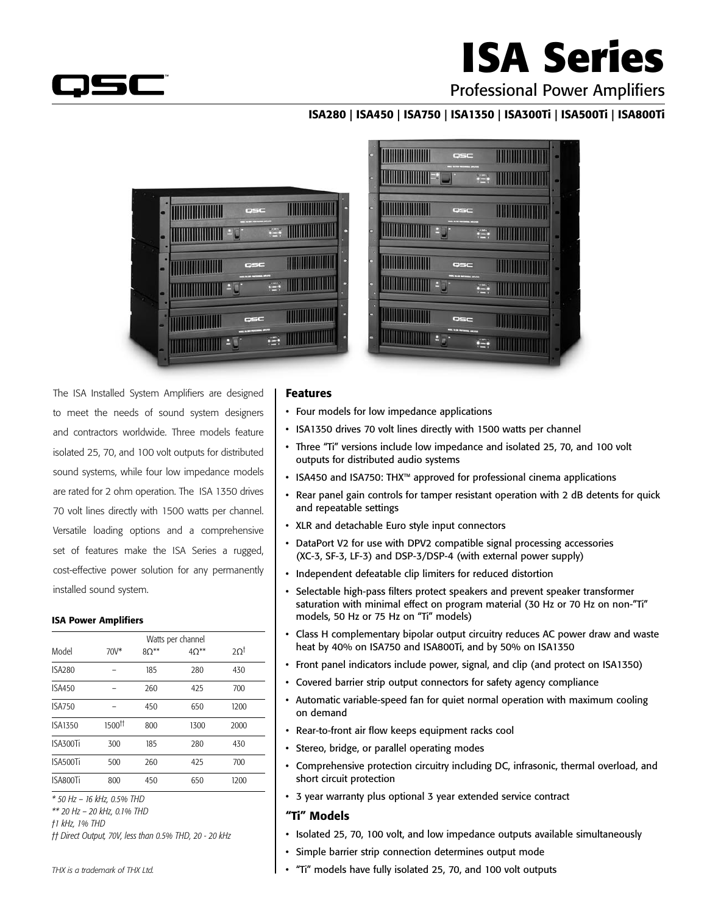

# **ISA Series**

### Professional Power Amplifiers

#### ISA280 | ISA450 | ISA750 | ISA1350 | ISA300Ti | ISA500Ti | ISA800Ti





The ISA Installed System Amplifiers are designed to meet the needs of sound system designers and contractors worldwide. Three models feature isolated 25, 70, and 100 volt outputs for distributed sound systems, while four low impedance models are rated for 2 ohm operation. The ISA 1350 drives 70 volt lines directly with 1500 watts per channel. Versatile loading options and a comprehensive set of features make the ISA Series a rugged, cost-effective power solution for any permanently installed sound system.

#### ISA Power Amplifiers

|          | Watts per channel  |        |                |      |  |  |  |
|----------|--------------------|--------|----------------|------|--|--|--|
| Model    | $70V^*$            | $8O**$ | $4\Omega^{**}$ | 20t  |  |  |  |
| ISA280   |                    | 185    | 280            | 430  |  |  |  |
| ISA450   |                    | 260    | 425            | 700  |  |  |  |
| ISA750   |                    | 450    | 650            | 1200 |  |  |  |
| ISA1350  | 1500 <sup>tt</sup> | 800    | 1300           | 2000 |  |  |  |
| ISA300Ti | 300                | 185    | 280            | 430  |  |  |  |
| ISA500Ti | 500                | 260    | 425            | 700  |  |  |  |
| ISA800Ti | 800                | 450    | 650            | 1200 |  |  |  |
|          |                    |        |                |      |  |  |  |

*\* 50 Hz – 16 kHz, 0.5% THD* 

*\*\* 20 Hz – 20 kHz, 0.1% THD* 

*†1 kHz, 1% THD* 

*†† Direct Output, 70V, less than 0.5% THD, 20 - 20 kHz*

#### Features

- Four models for low impedance applications
- ISA1350 drives 70 volt lines directly with 1500 watts per channel
- Three "Ti" versions include low impedance and isolated 25, 70, and 100 volt outputs for distributed audio systems
- ISA450 and ISA750: THX™ approved for professional cinema applications
- Rear panel gain controls for tamper resistant operation with 2 dB detents for quick and repeatable settings
- • XLR and detachable Euro style input connectors
- DataPort V2 for use with DPV2 compatible signal processing accessories (XC-3, SF-3, LF-3) and DSP-3/DSP-4 (with external power supply)
- Independent defeatable clip limiters for reduced distortion
- • Selectable high-pass filters protect speakers and prevent speaker transformer saturation with minimal effect on program material (30 Hz or 70 Hz on non-"Ti" models, 50 Hz or 75 Hz on "Ti" models)
- Class H complementary bipolar output circuitry reduces AC power draw and waste heat by 40% on ISA750 and ISA800Ti, and by 50% on ISA1350
- Front panel indicators include power, signal, and clip (and protect on ISA1350)
- Covered barrier strip output connectors for safety agency compliance
- Automatic variable-speed fan for quiet normal operation with maximum cooling on demand
- • Rear-to-front air flow keeps equipment racks cool
- • Stereo, bridge, or parallel operating modes
- • Comprehensive protection circuitry including DC, infrasonic, thermal overload, and short circuit protection
- 3 year warranty plus optional 3 year extended service contract

#### "Ti" Models

- Isolated 25, 70, 100 volt, and low impedance outputs available simultaneously
- • Simple barrier strip connection determines output mode
- "Ti" models have fully isolated 25, 70, and 100 volt outputs